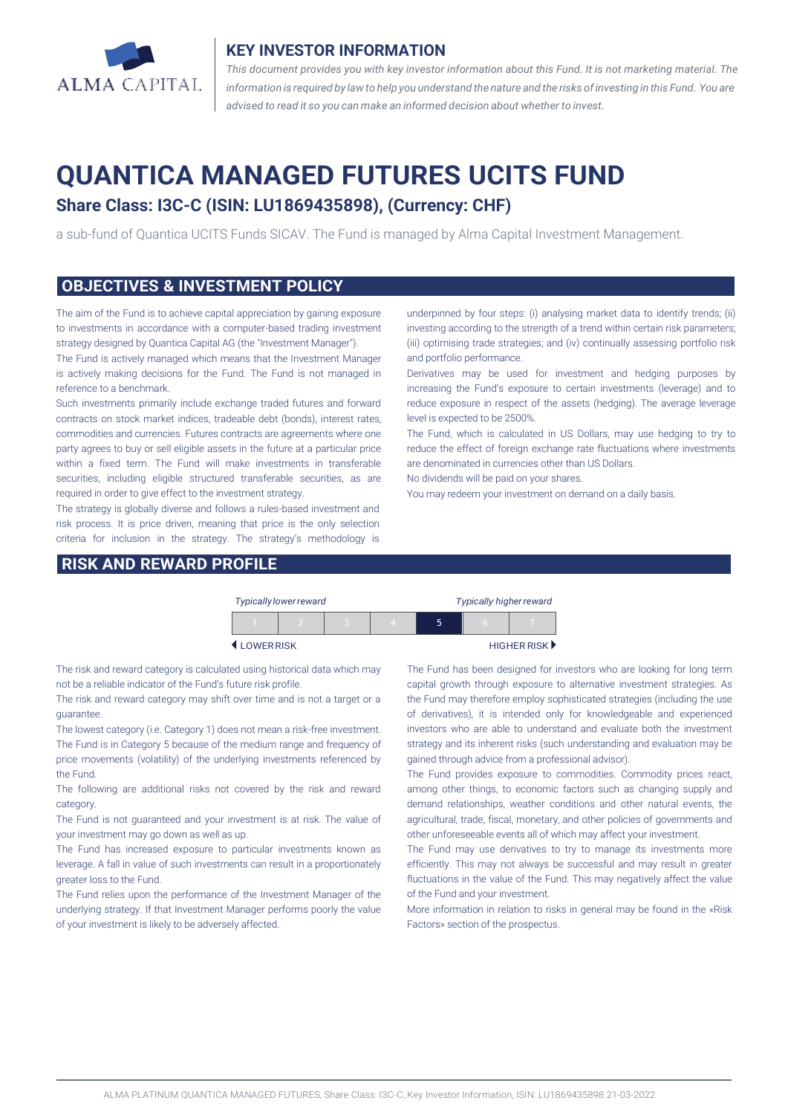

#### **KEY INVESTOR INFORMATION**

*This document provides you with key investor information about this Fund. It is not marketing material. The* information is required by law to help you understand the nature and the risks of investing in this Fund. You are *advised to read it so you can make an informed decision about whether to invest.*

# **QUANTICA MANAGED FUTURES UCITS FUND**

## **Share Class: I3C-C (ISIN: LU1869435898), (Currency: CHF)**

a sub-fund of Quantica UCITS Funds SICAV. The Fund is managed by Alma Capital Investment Management.

#### **OBJECTIVES & INVESTMENT POLICY**

The aim of the Fund is to achieve capital appreciation by gaining exposure to investments in accordance with a computer-based trading investment strategy designed by Quantica Capital AG (the "Investment Manager").

The Fund is actively managed which means that the Investment Manager is actively making decisions for the Fund. The Fund is not managed in reference to a benchmark.

Such investments primarily include exchange traded futures and forward contracts on stock market indices, tradeable debt (bonds), interest rates, commodities and currencies. Futures contracts are agreements where one party agrees to buy or sell eligible assets in the future at a particular price within a fixed term. The Fund will make investments in transferable securities, including eligible structured transferable securities, as are required in order to give effect to the investment strategy.

The strategy is globally diverse and follows a rules-based investment and risk process. It is price driven, meaning that price is the only selection criteria for inclusion in the strategy. The strategy's methodology is

#### **RISK AND REWARD PROFILE**

underpinned by four steps: (i) analysing market data to identify trends; (ii) investing according to the strength of a trend within certain risk parameters; (iii) optimising trade strategies; and (iv) continually assessing portfolio risk and portfolio performance.

Derivatives may be used for investment and hedging purposes by increasing the Fund's exposure to certain investments (leverage) and to reduce exposure in respect of the assets (hedging). The average leverage level is expected to be 2500%.

The Fund, which is calculated in US Dollars, may use hedging to try to reduce the effect of foreign exchange rate fluctuations where investments are denominated in currencies other than US Dollars.

No dividends will be paid on your shares.

You may redeem your investment on demand on a daily basis.

|           | <b>Typically lower reward</b> |  | <b>Typically higher reward</b> |   |          |                             |
|-----------|-------------------------------|--|--------------------------------|---|----------|-----------------------------|
|           |                               |  |                                | ּ | $\Gamma$ |                             |
| LOWERRISK |                               |  |                                |   |          | HIGHER RISK <sup>&gt;</sup> |

The risk and reward category is calculated using historical data which may not be a reliable indicator of the Fund's future risk profile.

The risk and reward category may shift over time and is not a target or a guarantee.

The lowest category (i.e. Category 1) does not mean a risk-free investment. The Fund is in Category 5 because of the medium range and frequency of price movements (volatility) of the underlying investments referenced by the Fund.

The following are additional risks not covered by the risk and reward category.

The Fund is not guaranteed and your investment is at risk. The value of your investment may go down as well as up.

The Fund has increased exposure to particular investments known as leverage. A fall in value of such investments can result in a proportionately greater loss to the Fund.

The Fund relies upon the performance of the Investment Manager of the underlying strategy. If that Investment Manager performs poorly the value of your investment is likely to be adversely affected.

The Fund has been designed for investors who are looking for long term capital growth through exposure to alternative investment strategies. As the Fund may therefore employ sophisticated strategies (including the use of derivatives), it is intended only for knowledgeable and experienced investors who are able to understand and evaluate both the investment strategy and its inherent risks (such understanding and evaluation may be gained through advice from a professional advisor).

The Fund provides exposure to commodities. Commodity prices react, among other things, to economic factors such as changing supply and demand relationships, weather conditions and other natural events, the agricultural, trade, fiscal, monetary, and other policies of governments and other unforeseeable events all of which may affect your investment.

The Fund may use derivatives to try to manage its investments more efficiently. This may not always be successful and may result in greater fluctuations in the value of the Fund. This may negatively affect the value of the Fund and your investment.

More information in relation to risks in general may be found in the «Risk Factors» section of the prospectus.